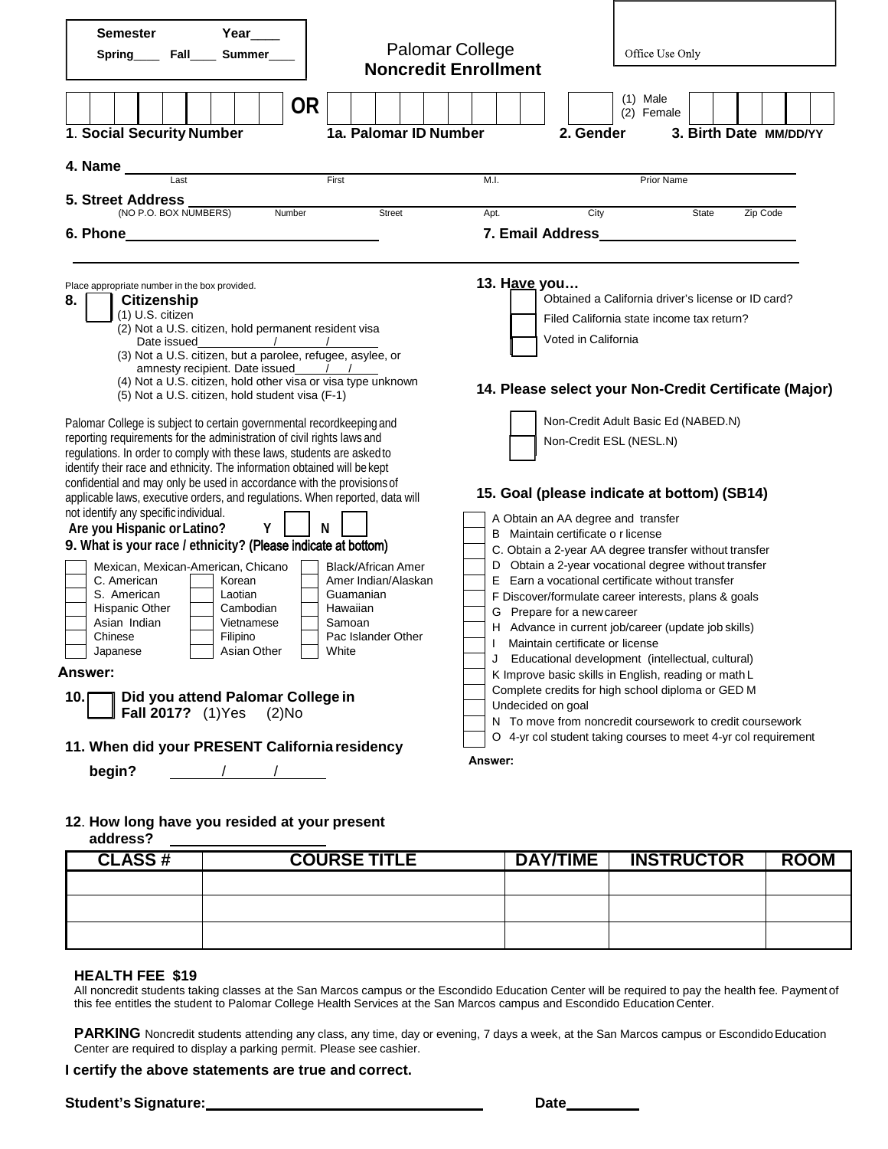| <b>Semester</b><br>Spring_____ Fall_____ Summer____<br>1. Social Security Number                                                                                                                                                                                                                                                                                                                                                                                                                                                                                                                                                                                                                                                                                                                                                                                                                                                                                                                                                                                                                                                                                                                                                                                                                                                                                                                                 | Year____<br><b>OR</b> | <b>Palomar College</b><br><b>Noncredit Enrollment</b><br>1a. Palomar ID Number |                                                                                                                                                                                                                                                                                                                                                                                                                                                                                                                                                                                                                                                                                                                                                                                                                                                                                                                                                                                                                                                                                                   | 2. Gender       | Office Use Only<br>$(1)$ Male<br>(2) Female<br>3. Birth Date MM/DD/YY |             |
|------------------------------------------------------------------------------------------------------------------------------------------------------------------------------------------------------------------------------------------------------------------------------------------------------------------------------------------------------------------------------------------------------------------------------------------------------------------------------------------------------------------------------------------------------------------------------------------------------------------------------------------------------------------------------------------------------------------------------------------------------------------------------------------------------------------------------------------------------------------------------------------------------------------------------------------------------------------------------------------------------------------------------------------------------------------------------------------------------------------------------------------------------------------------------------------------------------------------------------------------------------------------------------------------------------------------------------------------------------------------------------------------------------------|-----------------------|--------------------------------------------------------------------------------|---------------------------------------------------------------------------------------------------------------------------------------------------------------------------------------------------------------------------------------------------------------------------------------------------------------------------------------------------------------------------------------------------------------------------------------------------------------------------------------------------------------------------------------------------------------------------------------------------------------------------------------------------------------------------------------------------------------------------------------------------------------------------------------------------------------------------------------------------------------------------------------------------------------------------------------------------------------------------------------------------------------------------------------------------------------------------------------------------|-----------------|-----------------------------------------------------------------------|-------------|
| 4. Name ______<br>$\overline{\phantom{a}}$ Last<br><b>5. Street Address</b><br>(NO P.O. BOX NUMBERS)                                                                                                                                                                                                                                                                                                                                                                                                                                                                                                                                                                                                                                                                                                                                                                                                                                                                                                                                                                                                                                                                                                                                                                                                                                                                                                             | Number                | First<br>Street                                                                | M.I.<br>Apt.                                                                                                                                                                                                                                                                                                                                                                                                                                                                                                                                                                                                                                                                                                                                                                                                                                                                                                                                                                                                                                                                                      | City            | <b>Prior Name</b><br>State                                            | Zip Code    |
| Place appropriate number in the box provided.<br>8.<br><b>Citizenship</b><br>(1) U.S. citizen<br>(2) Not a U.S. citizen, hold permanent resident visa<br>(4) Not a U.S. citizen, hold other visa or visa type unknown<br>(5) Not a U.S. citizen, hold student visa (F-1)<br>Palomar College is subject to certain governmental recordkeeping and<br>reporting requirements for the administration of civil rights laws and<br>regulations. In order to comply with these laws, students are asked to<br>identify their race and ethnicity. The information obtained will be kept<br>confidential and may only be used in accordance with the provisions of<br>applicable laws, executive orders, and regulations. When reported, data will<br>not identify any specific individual.<br>Y<br>N<br>Are you Hispanic or Latino?<br>9. What is your race / ethnicity? (Please indicate at bottom)<br>Mexican, Mexican-American, Chicano<br><b>Black/African Amer</b><br>C. American<br>Amer Indian/Alaskan<br>Korean<br>S. American<br>Laotian<br>Guamanian<br>Hispanic Other<br>Hawaiian<br>Cambodian<br>Asian Indian<br>Vietnamese<br>Samoan<br>Pac Islander Other<br>Chinese<br>Filipino<br>Asian Other<br>White<br>Japanese<br>Answer:<br>Did you attend Palomar College in<br>10.5<br><b>Fall 2017?</b> (1) Yes<br>$(2)$ No<br>11. When did your PRESENT California residency<br>$\frac{1}{\sqrt{2}}$<br>begin? |                       |                                                                                | 13. Have you<br>Obtained a California driver's license or ID card?<br>Filed California state income tax return?<br>Voted in California<br>14. Please select your Non-Credit Certificate (Major)<br>Non-Credit Adult Basic Ed (NABED.N)<br>Non-Credit ESL (NESL.N)<br>15. Goal (please indicate at bottom) (SB14)<br>A Obtain an AA degree and transfer<br>B Maintain certificate o r license<br>C. Obtain a 2-year AA degree transfer without transfer<br>D Obtain a 2-year vocational degree without transfer<br>E Earn a vocational certificate without transfer<br>F Discover/formulate career interests, plans & goals<br>G Prepare for a new career<br>H Advance in current job/career (update job skills)<br>Maintain certificate or license<br>Educational development (intellectual, cultural)<br>$\mathbf{L}$<br>K Improve basic skills in English, reading or math L<br>Complete credits for high school diploma or GED M<br>Undecided on goal<br>N To move from noncredit coursework to credit coursework<br>O 4-yr col student taking courses to meet 4-yr col requirement<br>Answer: |                 |                                                                       |             |
| 12. How long have you resided at your present<br>address?                                                                                                                                                                                                                                                                                                                                                                                                                                                                                                                                                                                                                                                                                                                                                                                                                                                                                                                                                                                                                                                                                                                                                                                                                                                                                                                                                        |                       |                                                                                |                                                                                                                                                                                                                                                                                                                                                                                                                                                                                                                                                                                                                                                                                                                                                                                                                                                                                                                                                                                                                                                                                                   |                 |                                                                       |             |
| <b>CLASS#</b>                                                                                                                                                                                                                                                                                                                                                                                                                                                                                                                                                                                                                                                                                                                                                                                                                                                                                                                                                                                                                                                                                                                                                                                                                                                                                                                                                                                                    |                       | <b>COURSE TITLE</b>                                                            |                                                                                                                                                                                                                                                                                                                                                                                                                                                                                                                                                                                                                                                                                                                                                                                                                                                                                                                                                                                                                                                                                                   | <b>DAY/TIME</b> | <b>INSTRUCTOR</b>                                                     | <b>ROOM</b> |
|                                                                                                                                                                                                                                                                                                                                                                                                                                                                                                                                                                                                                                                                                                                                                                                                                                                                                                                                                                                                                                                                                                                                                                                                                                                                                                                                                                                                                  |                       |                                                                                |                                                                                                                                                                                                                                                                                                                                                                                                                                                                                                                                                                                                                                                                                                                                                                                                                                                                                                                                                                                                                                                                                                   |                 |                                                                       |             |

#### **HEALTH FEE \$19**

All noncredit students taking classes at the San Marcos campus or the Escondido Education Center will be required to pay the health fee. Payment of this fee entitles the student to Palomar College Health Services at the San Marcos campus and Escondido Education Center.

PARKING Noncredit students attending any class, any time, day or evening, 7 days a week, at the San Marcos campus or Escondido Education Center are required to display a parking permit. Please see cashier.

#### **I certify the above statements are true and correct.**

**Student's Signature:**